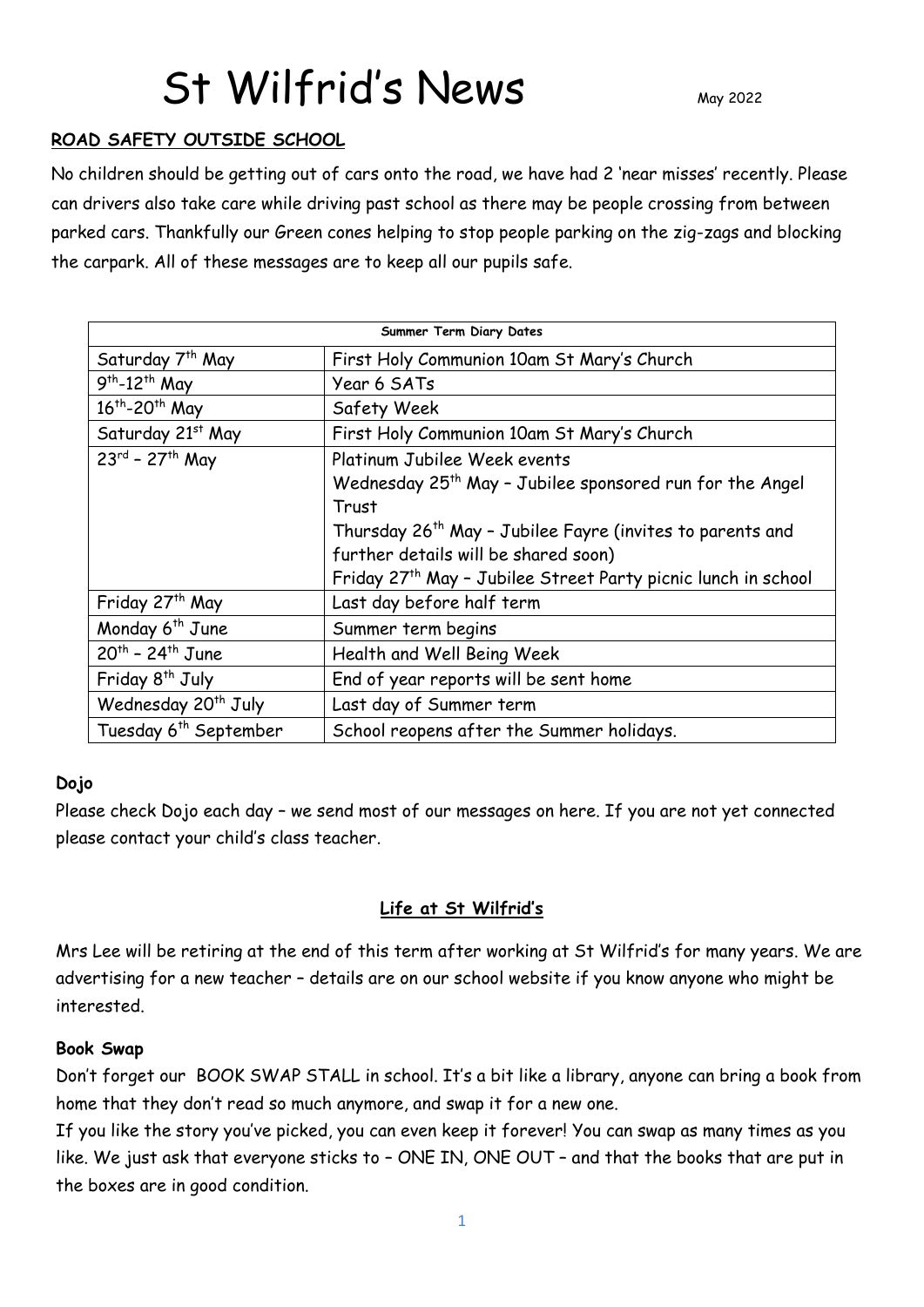# St Wilfrid's News

### **ROAD SAFETY OUTSIDE SCHOOL**

No children should be getting out of cars onto the road, we have had 2 'near misses' recently. Please can drivers also take care while driving past school as there may be people crossing from between parked cars. Thankfully our Green cones helping to stop people parking on the zig-zags and blocking the carpark. All of these messages are to keep all our pupils safe.

| Summer Term Diary Dates                |                                                                       |
|----------------------------------------|-----------------------------------------------------------------------|
| Saturday 7 <sup>th</sup> May           | First Holy Communion 10am St Mary's Church                            |
| $9th - 12th$ May                       | Year 6 SATs                                                           |
| 16 <sup>th</sup> -20 <sup>th</sup> May | Safety Week                                                           |
| Saturday 21st May                      | First Holy Communion 10am St Mary's Church                            |
| $23^{rd}$ - 27 <sup>th</sup> May       | Platinum Jubilee Week events                                          |
|                                        | Wednesday 25 <sup>th</sup> May - Jubilee sponsored run for the Angel  |
|                                        | Trust                                                                 |
|                                        | Thursday 26 <sup>th</sup> May - Jubilee Fayre (invites to parents and |
|                                        | further details will be shared soon)                                  |
|                                        | Friday 27th May - Jubilee Street Party picnic lunch in school         |
| Friday 27 <sup>th</sup> May            | Last day before half term                                             |
| Monday 6 <sup>th</sup> June            | Summer term begins                                                    |
| $20^{th}$ - 24 <sup>th</sup> June      | Health and Well Being Week                                            |
| Friday 8 <sup>th</sup> July            | End of year reports will be sent home                                 |
| Wednesday 20 <sup>th</sup> July        | Last day of Summer term                                               |
| Tuesday 6 <sup>th</sup> September      | School reopens after the Summer holidays.                             |

#### **Dojo**

Please check Dojo each day – we send most of our messages on here. If you are not yet connected please contact your child's class teacher.

# **Life at St Wilfrid's**

Mrs Lee will be retiring at the end of this term after working at St Wilfrid's for many years. We are advertising for a new teacher – details are on our school website if you know anyone who might be interested.

#### **Book Swap**

Don't forget our BOOK SWAP STALL in school. It's a bit like a library, anyone can bring a book from home that they don't read so much anymore, and swap it for a new one.

If you like the story you've picked, you can even keep it forever! You can swap as many times as you like. We just ask that everyone sticks to – ONE IN, ONE OUT – and that the books that are put in the boxes are in good condition.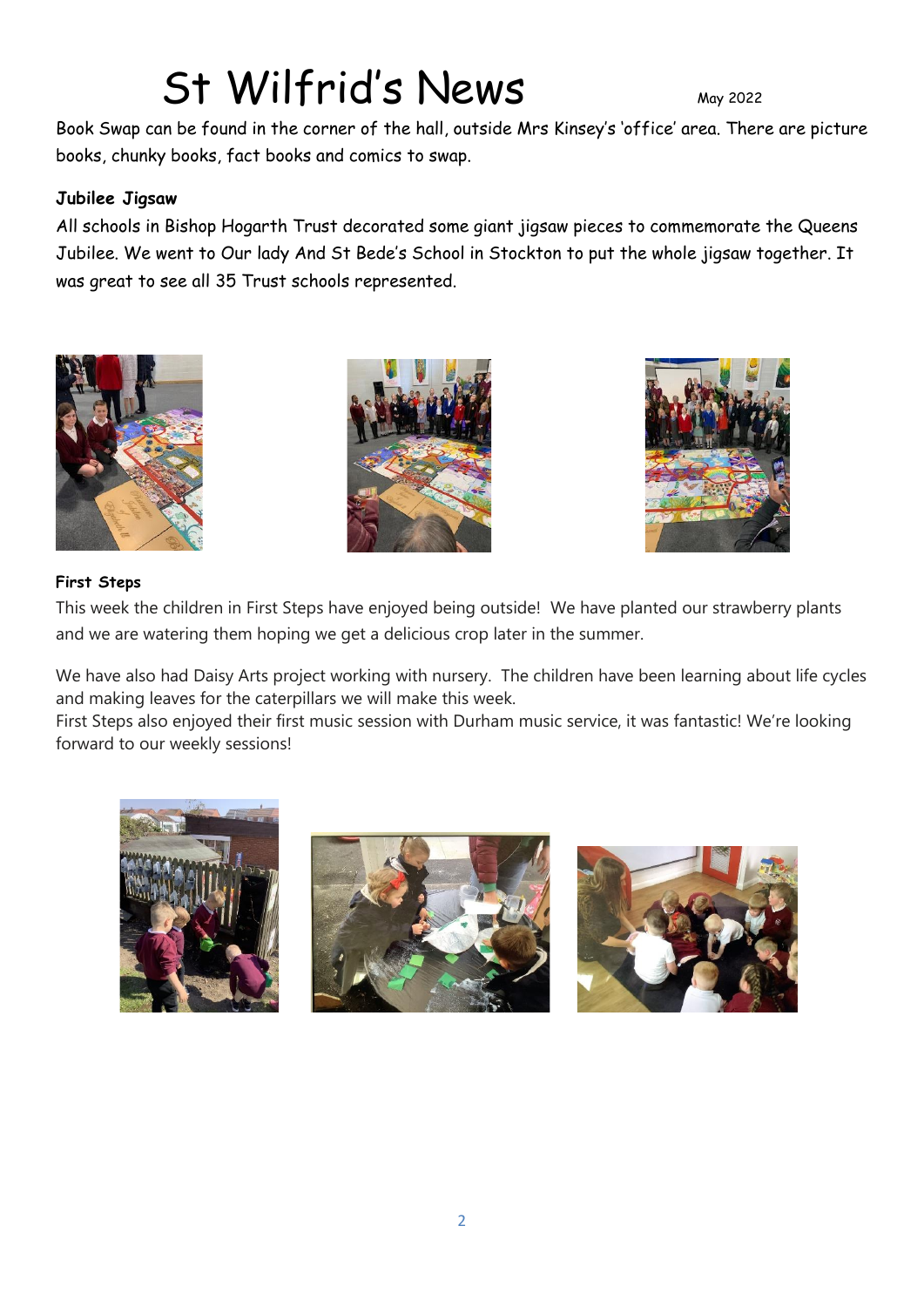# St Wilfrid's News

Book Swap can be found in the corner of the hall, outside Mrs Kinsey's 'office' area. There are picture books, chunky books, fact books and comics to swap.

# **Jubilee Jigsaw**

All schools in Bishop Hogarth Trust decorated some giant jigsaw pieces to commemorate the Queens Jubilee. We went to Our lady And St Bede's School in Stockton to put the whole jigsaw together. It was great to see all 35 Trust schools represented.







#### **First Steps**

This week the children in First Steps have enjoyed being outside! We have planted our strawberry plants and we are watering them hoping we get a delicious crop later in the summer.

We have also had Daisy Arts project working with nursery. The children have been learning about life cycles and making leaves for the caterpillars we will make this week.

First Steps also enjoyed their first music session with Durham music service, it was fantastic! We're looking forward to our weekly sessions!





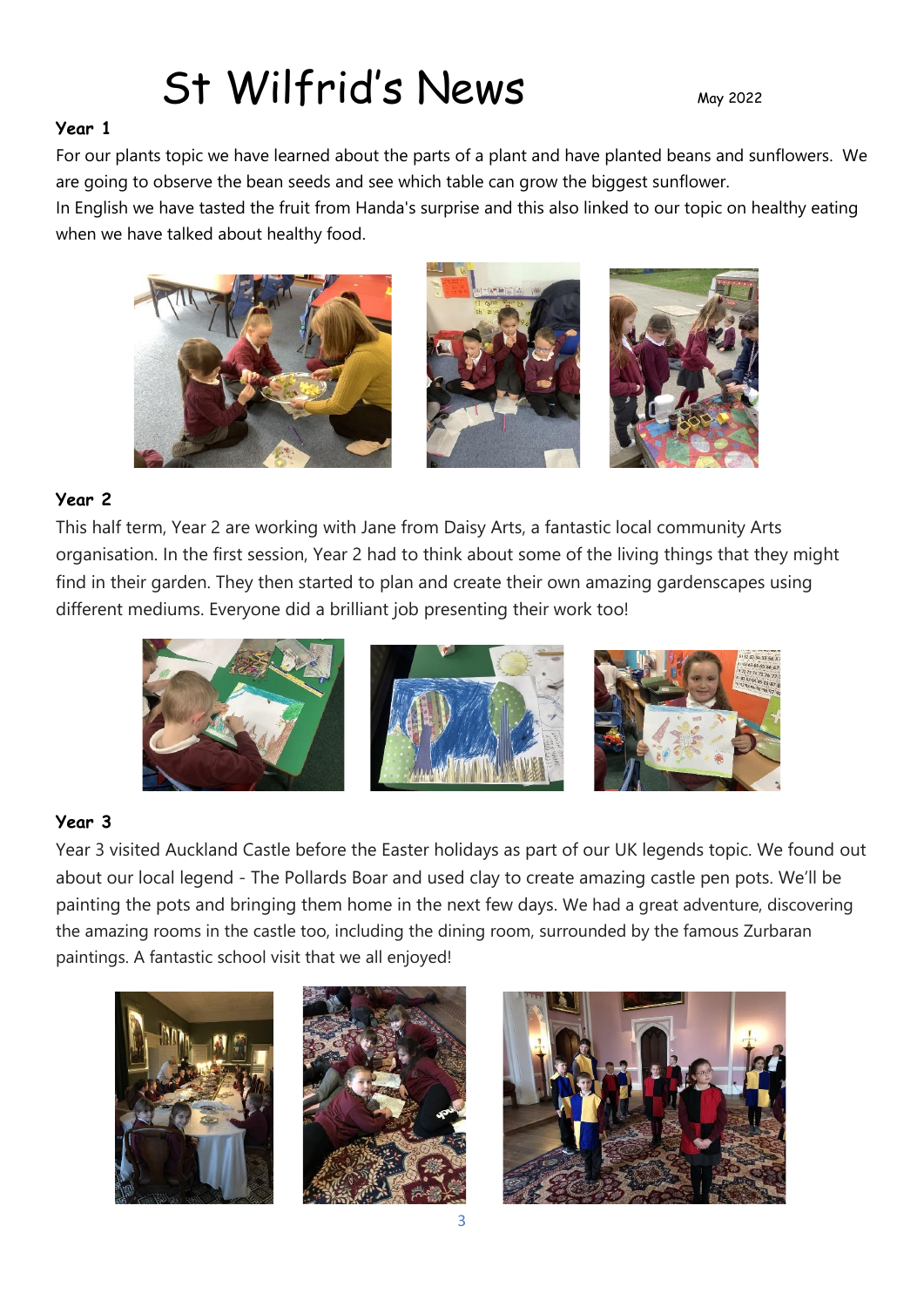# St Wilfrid's News May 2022

# **Year 1**

For our plants topic we have learned about the parts of a plant and have planted beans and sunflowers. We are going to observe the bean seeds and see which table can grow the biggest sunflower.

In English we have tasted the fruit from Handa's surprise and this also linked to our topic on healthy eating when we have talked about healthy food.



# **Year 2**

This half term, Year 2 are working with Jane from Daisy Arts, a fantastic local community Arts organisation. In the first session, Year 2 had to think about some of the living things that they might find in their garden. They then started to plan and create their own amazing gardenscapes using different mediums. Everyone did a brilliant job presenting their work too!



# **Year 3**

Year 3 visited Auckland Castle before the Easter holidays as part of our UK legends topic. We found out about our local legend - The Pollards Boar and used clay to create amazing castle pen pots. We'll be painting the pots and bringing them home in the next few days. We had a great adventure, discovering the amazing rooms in the castle too, including the dining room, surrounded by the famous Zurbaran paintings. A fantastic school visit that we all enjoyed!





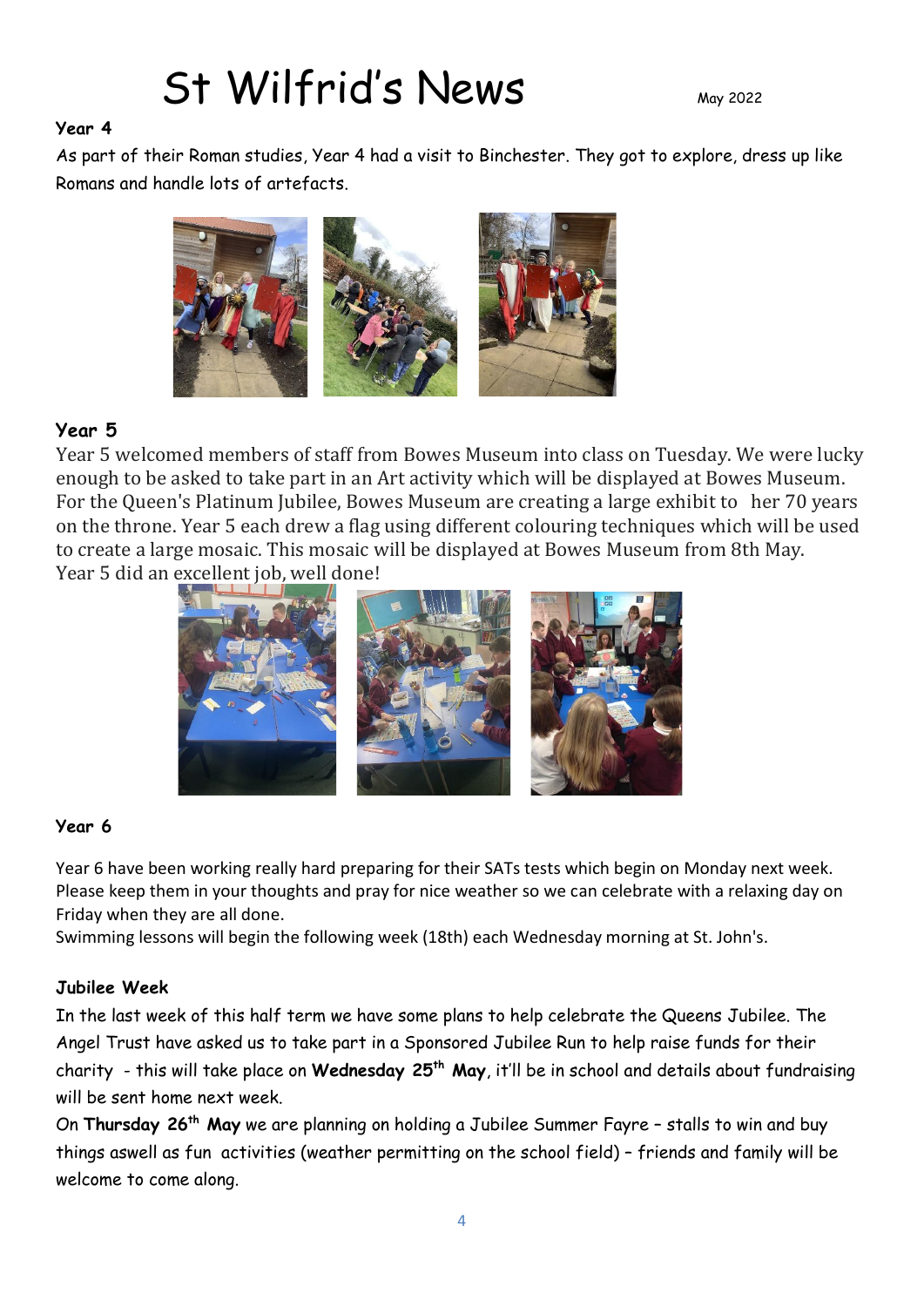# St Wilfrid's News May 2022

#### **Year 4**

As part of their Roman studies, Year 4 had a visit to Binchester. They got to explore, dress up like Romans and handle lots of artefacts.



# **Year 5**

Year 5 welcomed members of staff from Bowes Museum into class on Tuesday. We were lucky enough to be asked to take part in an Art activity which will be displayed at Bowes Museum. For the Queen's Platinum Jubilee, Bowes Museum are creating a large exhibit to her 70 years on the throne. Year 5 each drew a flag using different colouring techniques which will be used to create a large mosaic. This mosaic will be displayed at Bowes Museum from 8th May. Year 5 did an excellent job, well done!



#### **Year 6**

Year 6 have been working really hard preparing for their SATs tests which begin on Monday next week. Please keep them in your thoughts and pray for nice weather so we can celebrate with a relaxing day on Friday when they are all done.

Swimming lessons will begin the following week (18th) each Wednesday morning at St. John's.

#### **Jubilee Week**

In the last week of this half term we have some plans to help celebrate the Queens Jubilee. The Angel Trust have asked us to take part in a Sponsored Jubilee Run to help raise funds for their charity - this will take place on **Wednesday 25th May**, it'll be in school and details about fundraising will be sent home next week.

On **Thursday 26 th May** we are planning on holding a Jubilee Summer Fayre – stalls to win and buy things aswell as fun activities (weather permitting on the school field) – friends and family will be welcome to come along.